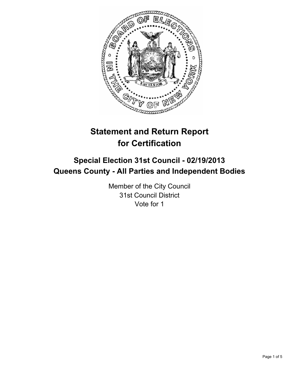

# **Statement and Return Report for Certification**

## **Special Election 31st Council - 02/19/2013 Queens County - All Parties and Independent Bodies**

Member of the City Council 31st Council District Vote for 1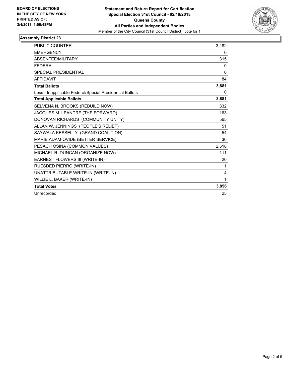

#### **Assembly District 23**

| <b>PUBLIC COUNTER</b>                                    | 3.482 |
|----------------------------------------------------------|-------|
| <b>EMERGENCY</b>                                         | 0     |
| <b>ABSENTEE/MILITARY</b>                                 | 315   |
| <b>FEDERAL</b>                                           | 0     |
| <b>SPECIAL PRESIDENTIAL</b>                              | 0     |
| <b>AFFIDAVIT</b>                                         | 84    |
| <b>Total Ballots</b>                                     | 3,881 |
| Less - Inapplicable Federal/Special Presidential Ballots | 0     |
| <b>Total Applicable Ballots</b>                          | 3,881 |
| SELVENA N. BROOKS (REBUILD NOW)                          | 332   |
| JACQUES M. LEANDRE (THE FORWARD)                         | 163   |
| DONOVAN RICHARDS (COMMUNITY UNITY)                       | 565   |
| ALLAN W. JENNINGS (PEOPLE'S RELIEF)                      | 51    |
| SAYWALA KESSELLY (GRAND COALITION)                       | 54    |
| MARIE ADAM-OVIDE (BETTER SERVICE)                        | 36    |
| PESACH OSINA (COMMON VALUES)                             | 2,518 |
| MICHAEL R. DUNCAN (ORGANIZE NOW)                         | 111   |
| EARNEST FLOWERS III (WRITE-IN)                           | 20    |
| RUESDED PIERRO (WRITE-IN)                                | 1     |
| UNATTRIBUTABLE WRITE-IN (WRITE-IN)                       | 4     |
| WILLIE L. BAKER (WRITE-IN)                               | 1     |
| <b>Total Votes</b>                                       | 3,856 |
| Unrecorded                                               | 25    |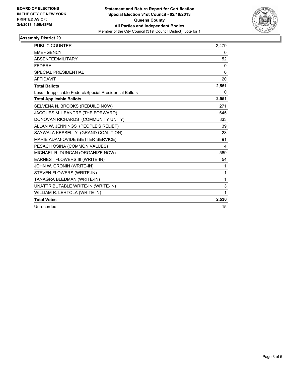

#### **Assembly District 29**

| <b>PUBLIC COUNTER</b>                                    | 2,479        |
|----------------------------------------------------------|--------------|
| <b>EMERGENCY</b>                                         | 0            |
| <b>ABSENTEE/MILITARY</b>                                 | 52           |
| <b>FFDFRAI</b>                                           | 0            |
| <b>SPECIAL PRESIDENTIAL</b>                              | $\Omega$     |
| <b>AFFIDAVIT</b>                                         | 20           |
| <b>Total Ballots</b>                                     | 2,551        |
| Less - Inapplicable Federal/Special Presidential Ballots | 0            |
| <b>Total Applicable Ballots</b>                          | 2,551        |
| SELVENA N. BROOKS (REBUILD NOW)                          | 271          |
| JACQUES M. LEANDRE (THE FORWARD)                         | 645          |
| DONOVAN RICHARDS (COMMUNITY UNITY)                       | 833          |
| ALLAN W. JENNINGS (PEOPLE'S RELIEF)                      | 39           |
| SAYWALA KESSELLY (GRAND COALITION)                       | 23           |
| MARIE ADAM-OVIDE (BETTER SERVICE)                        | 91           |
| PESACH OSINA (COMMON VALUES)                             | 4            |
| MICHAEL R. DUNCAN (ORGANIZE NOW)                         | 569          |
| EARNEST FLOWERS III (WRITE-IN)                           | 54           |
| JOHN W. CRONIN (WRITE-IN)                                | 1            |
| STEVEN FLOWERS (WRITE-IN)                                | 1            |
| TANAGRA BLEDMAN (WRITE-IN)                               | $\mathbf{1}$ |
| UNATTRIBUTABLE WRITE-IN (WRITE-IN)                       | 3            |
| WILLIAM R. LERTOLA (WRITE-IN)                            | $\mathbf{1}$ |
| <b>Total Votes</b>                                       | 2,536        |
| Unrecorded                                               | 15           |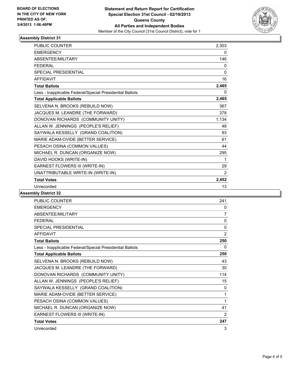

### **Assembly District 31**

| <b>PUBLIC COUNTER</b>                                    | 2,303    |
|----------------------------------------------------------|----------|
| <b>EMERGENCY</b>                                         | 0        |
| <b>ABSENTEE/MILITARY</b>                                 | 146      |
| <b>FEDERAL</b>                                           | 0        |
| <b>SPECIAL PRESIDENTIAL</b>                              | $\Omega$ |
| <b>AFFIDAVIT</b>                                         | 16       |
| <b>Total Ballots</b>                                     | 2,465    |
| Less - Inapplicable Federal/Special Presidential Ballots | 0        |
| <b>Total Applicable Ballots</b>                          | 2,465    |
| SELVENA N. BROOKS (REBUILD NOW)                          | 367      |
| JACQUES M. LEANDRE (THE FORWARD)                         | 378      |
| DONOVAN RICHARDS (COMMUNITY UNITY)                       | 1,134    |
| ALLAN W. JENNINGS (PEOPLE'S RELIEF)                      | 48       |
| SAYWALA KESSELLY (GRAND COALITION)                       | 93       |
| MARIE ADAM-OVIDE (BETTER SERVICE)                        | 61       |
| PESACH OSINA (COMMON VALUES)                             | 44       |
| MICHAEL R. DUNCAN (ORGANIZE NOW)                         | 295      |
| DAVID HOOKS (WRITE-IN)                                   | 1        |
| EARNEST FLOWERS III (WRITE-IN)                           | 29       |
| UNATTRIBUTABLE WRITE-IN (WRITE-IN)                       | 2        |
| <b>Total Votes</b>                                       | 2,452    |
| Unrecorded                                               | 13       |

#### **Assembly District 32**

| <b>PUBLIC COUNTER</b>                                    | 241            |
|----------------------------------------------------------|----------------|
| <b>FMFRGFNCY</b>                                         | 0              |
| ABSENTEE/MILITARY                                        | 7              |
| <b>FFDFRAI</b>                                           | 0              |
| <b>SPECIAL PRESIDENTIAL</b>                              | 0              |
| <b>AFFIDAVIT</b>                                         | $\overline{2}$ |
| <b>Total Ballots</b>                                     | 250            |
| Less - Inapplicable Federal/Special Presidential Ballots | 0              |
| <b>Total Applicable Ballots</b>                          | 250            |
| SELVENA N. BROOKS (REBUILD NOW)                          | 43             |
| JACQUES M. LEANDRE (THE FORWARD)                         | 30             |
| DONOVAN RICHARDS (COMMUNITY UNITY)                       | 114            |
| ALLAN W. JENNINGS (PEOPLE'S RELIEF)                      | 15             |
| SAYWALA KESSELLY (GRAND COALITION)                       | 0              |
| MARIE ADAM-OVIDE (BETTER SERVICE)                        | 1              |
| PESACH OSINA (COMMON VALUES)                             | 1              |
| MICHAEL R. DUNCAN (ORGANIZE NOW)                         | 41             |
| EARNEST FLOWERS III (WRITE-IN)                           | 2              |
| <b>Total Votes</b>                                       | 247            |
| Unrecorded                                               | 3              |